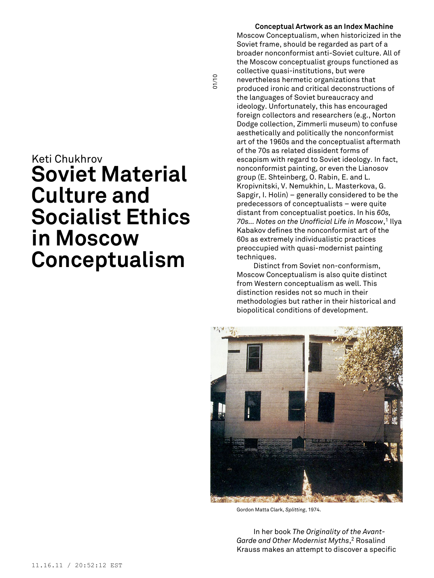# Keti Chukhrov **Soviet Material Culture and Socialist Ethics in Moscow Conceptualism**

**Conceptual Artwork as an Index Machine** Moscow Conceptualism, when historicized in the Soviet frame, should be regarded as part of a broader nonconformist anti-Soviet culture. All of the Moscow conceptualist groups functioned as collective quasi-institutions, but were nevertheless hermetic organizations that produced ironic and critical deconstructions of the languages of Soviet bureaucracy and ideology. Unfortunately, this has encouraged foreign collectors and researchers (e.g., Norton Dodge collection, Zimmerli museum) to confuse aesthetically and politically the nonconformist art of the 1960s and the conceptualist aftermath of the 70s as related dissident forms of escapism with regard to Soviet ideology. In fact, nonconformist painting, or even the Lianosov group (E. Shteinberg, O. Rabin, E. and L. Kropivnitski, V. Nemukhin, L. Masterkova, G. Sapgir, I. Holin) – generally considered to be the predecessors of conceptualists – were quite distant from conceptualist poetics. In his *60s, 70s… Notes on the Unofficial Life in Moscow*, <sup>1</sup> Ilya Kabakov defines the nonconformist art of the 60s as extremely individualistic practices preoccupied with quasi-modernist painting techniques.

01/10

Distinct from Soviet non-conformism, Moscow Conceptualism is also quite distinct from Western conceptualism as well. This distinction resides not so much in their methodologies but rather in their historical and biopolitical conditions of development.



Gordon Matta Clark, *Splitting*, 1974.

In her book *The Originality of the Avant-Garde and Other Modernist Myths*, <sup>2</sup> Rosalind Krauss makes an attempt to discover a specific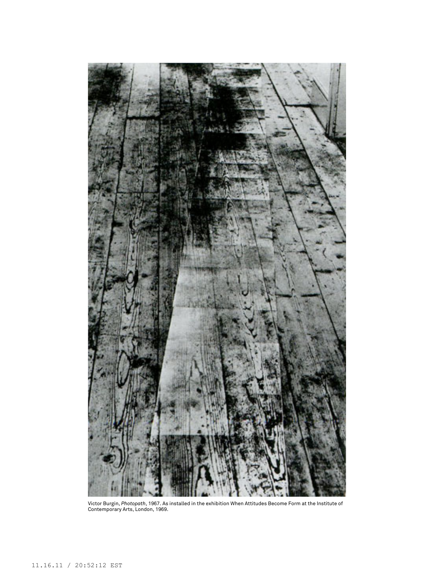

Victor Burgin, *Photopath*, 1967. As installed in the exhibition When Attitudes Become Form at the Institute of Contemporary Arts, London, 1969.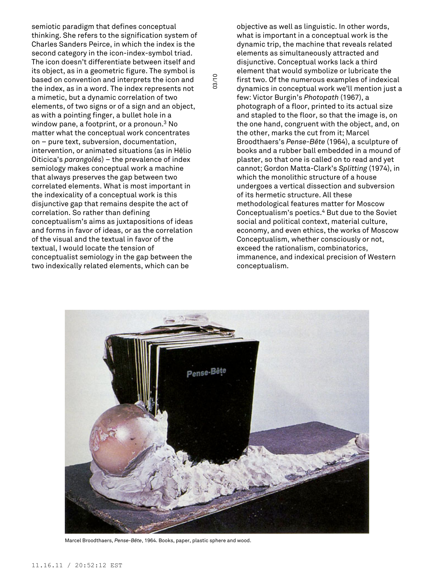semiotic paradigm that defines conceptual thinking. She refers to the signification system of Charles Sanders Peirce, in which the index is the second category in the icon-index-symbol triad. The icon doesn't differentiate between itself and its object, as in a geometric figure. The symbol is based on convention and interprets the icon and the index, as in a word. The index represents not a mimetic, but a dynamic correlation of two elements, of two signs or of a sign and an object, as with a pointing finger, a bullet hole in a window pane, a footprint, or a pronoun. <sup>3</sup> No matter what the conceptual work concentrates on – pure text, subversion, documentation, intervention, or animated situations (as in Hélio Oiticica's *parangolés*) – the prevalence of index semiology makes conceptual work a machine that always preserves the gap between two correlated elements. What is most important in the indexicality of a conceptual work is this disjunctive gap that remains despite the act of correlation. So rather than defining conceptualism's aims as juxtapositions of ideas and forms in favor of ideas, or as the correlation of the visual and the textual in favor of the textual, I would locate the tension of conceptualist semiology in the gap between the two indexically related elements, which can be

objective as well as linguistic. In other words, what is important in a conceptual work is the dynamic trip, the machine that reveals related elements as simultaneously attracted and disjunctive. Conceptual works lack a third element that would symbolize or lubricate the first two. Of the numerous examples of indexical dynamics in conceptual work we'll mention just a few: Victor Burgin's *Photopath* (1967), a photograph of a floor, printed to its actual size and stapled to the floor, so that the image is, on the one hand, congruent with the object, and, on the other, marks the cut from it; Marcel Broodthaers's *Pense-Bête* (1964), a sculpture of books and a rubber ball embedded in a mound of plaster, so that one is called on to read and yet cannot; Gordon Matta-Clark's *Splitting* (1974), in which the monolithic structure of a house undergoes a vertical dissection and subversion of its hermetic structure. All these methodological features matter for Moscow Conceptualism's poetics. <sup>4</sup> But due to the Soviet social and political context, material culture, economy, and even ethics, the works of Moscow Conceptualism, whether consciously or not, exceed the rationalism, combinatorics, immanence, and indexical precision of Western conceptualism.



03/10

Marcel Broodthaers, *Pense-Bête*, 1964. Books, paper, plastic sphere and wood.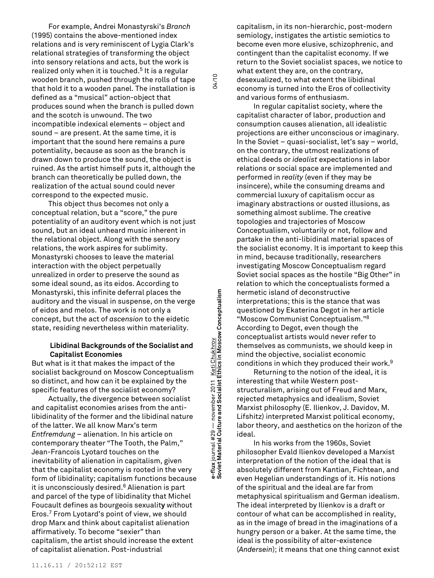For example, Andrei Monastyrski's *Branch* (1995) contains the above-mentioned index relations and is very reminiscent of Lygia Clark's relational strategies of transforming the object into sensory relations and acts, but the work is realized only when it is touched. <sup>5</sup> It is a regular wooden branch, pushed through the rolls of tape that hold it to a wooden panel. The installation is defined as a "musical" action-object that produces sound when the branch is pulled down and the scotch is unwound. The two incompatible indexical elements – object and sound – are present. At the same time, it is important that the sound here remains a pure potentiality, because as soon as the branch is drawn down to produce the sound, the object is ruined. As the artist himself puts it, although the branch can theoretically be pulled down, the realization of the actual sound could never correspond to the expected music.

This object thus becomes not only a conceptual relation, but a "score," the pure potentiality of an auditory event which is not just sound, but an ideal unheard music inherent in the relational object. Along with the sensory relations, the work aspires for sublimity. Monastyrski chooses to leave the material interaction with the object perpetually unrealized in order to preserve the sound as some ideal sound, as its eidos. According to Monastyrski, this infinite deferral places the auditory and the visual in suspense, on the verge of eidos and melos. The work is not only a concept, but the act of *ascension* to the eidetic state, residing nevertheless within materiality.

## **Libidinal Backgrounds of the Socialist and Capitalist Economies**

But what is it that makes the impact of the socialist background on Moscow Conceptualism so distinct, and how can it be explained by the specific features of the socialist economy?

Actually, the divergence between socialist and capitalist economies arises from the antilibidinality of the former and the libidinal nature of the latter. We all know Marx's term *Entfremdung* – alienation. In his article on contemporary theater "The Tooth, the Palm," Jean-Francois Lyotard touches on the inevitability of alienation in capitalism, given that the capitalist economy is rooted in the very form of libidinality; capitalism functions because it is unconsciously desired. <sup>6</sup> Alienation is part and parcel of the type of libidinality that Michel Foucault defines as bourgeois sexualit**y** without Eros. <sup>7</sup> From Lyotard's point of view, we should drop Marx and think about capitalist alienation affirmatively. To become "sexier" than capitalism, the artist should increase the extent of capitalist alienation. Post-industrial

**Soviet Material Culture and Socialist Ethics in Moscow Conceptualism** 04/10 Keti Chukhrov<br>Ethics in Moscow Conceptualism **e-flux** journal #29 — november 2011 <u>Keti Chukhrov</u><br>Soviet Material Culture and Socialist Ethics in Mosc e-flux journal #29 — november 2011<br>Soviet Material Culture and Socialist E

04/10

capitalism, in its non-hierarchic, post-modern semiology, instigates the artistic semiotics to become even more elusive, schizophrenic, and contingent than the capitalist economy. If we return to the Soviet socialist spaces, we notice to what extent they are, on the contrary, desexualized, to what extent the libidinal economy is turned into the Eros of collectivity and various forms of enthusiasm.

In regular capitalist society, where the capitalist character of labor, production and consumption causes alienation, all idealistic projections are either unconscious or imaginary. In the Soviet – quasi-socialist, let's say – world, on the contrary, the utmost realizations of ethical deeds or *idealist* expectations in labor relations or social space are implemented and performed in *reality* (even if they may be insincere), while the consuming dreams and commercial luxury of capitalism occur as imaginary abstractions or ousted illusions, as something almost sublime. The creative topologies and trajectories of Moscow Conceptualism, voluntarily or not, follow and partake in the anti-libidinal material spaces of the socialist economy. It is important to keep this in mind, because traditionally, researchers investigating Moscow Conceptualism regard Soviet social spaces as the hostile "Big Other" in relation to which the conceptualists formed a hermetic island of deconstructive interpretations; this is the stance that was questioned by Ekaterina Degot in her article "Moscow Communist Conceptualism." 8 According to Degot, even though the conceptualist artists would never refer to themselves as communists, we should keep in mind the objective, socialist economic conditions in which they produced their work. 9

Returning to the notion of the ideal, it is interesting that while Western poststructuralism, arising out of Freud and Marx, rejected metaphysics and idealism, Soviet Marxist philosophy (E. Ilienkov, J. Davidov, M. Lifshitz) interpreted Marxist political economy, labor theory, and aesthetics on the horizon of the ideal.

In his works from the 1960s, Soviet philosopher Evald Ilienkov developed a Marxist interpretation of the notion of the ideal that is absolutely different from Kantian, Fichtean, and even Hegelian understandings of it. His notions of the spiritual and the ideal are far from metaphysical spiritualism and German idealism. The ideal interpreted by Ilienkov is a draft or contour of what can be accomplished in reality, as in the image of bread in the imaginations of a hungry person or a baker. At the same time, the ideal is the possibility of alter-existence (*Andersein*); it means that one thing cannot exist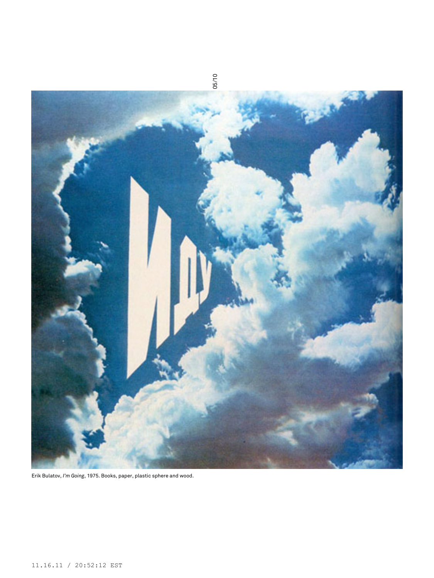

Erik Bulatov, *I'm Going*, 1975. Books, paper, plastic sphere and wood.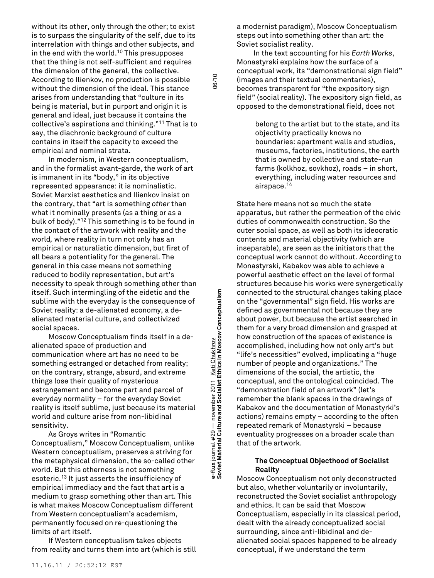without its other, only through the other; to exist is to surpass the singularity of the self, due to its interrelation with things and other subjects, and in the end with the world. <sup>10</sup> This presupposes that the thing is not self-sufficient and requires the dimension of the general, the collective. According to Ilienkov, no production is possible without the dimension of the ideal. This stance arises from understanding that "culture in its being is material, but in purport and origin it is general and ideal, just because it contains the collective's aspirations and thinking." <sup>11</sup> That is to say, the diachronic background of culture contains in itself the capacity to exceed the empirical and nominal strata.

In modernism, in Western conceptualism, and in the formalist avant-garde, the work of art is immanent in its "body," in its objective represented appearance: it is nominalistic. Soviet Marxist aesthetics and Ilienkov insist on the contrary, that "art is something *other* than what it nominally presents (as a thing or as a bulk of body)." <sup>12</sup> This something is to be found in the contact of the artwork with reality and the world*,* where reality in turn not only has an empirical or naturalistic dimension, but first of all bears a potentiality for the general. The general in this case means not something reduced to bodily representation, but art's necessity to speak through something other than itself. Such intermingling of the eidetic and the sublime with the everyday is the consequence of Soviet reality: a de-alienated economy, a dealienated material culture, and collectivized social spaces.

Moscow Conceptualism finds itself in a dealienated space of production and communication where art has no need to be something estranged or detached from reality; on the contrary, strange, absurd, and extreme things lose their quality of mysterious estrangement and become part and parcel of everyday normality – for the everyday Soviet reality is itself sublime, just because its material world and culture arise from non-libidinal sensitivity.

As Groys writes in "Romantic Conceptualism," Moscow Conceptualism, unlike Western conceptualism, preserves a striving for the metaphysical dimension, the so-called other world. But this otherness is not something esoteric. <sup>13</sup> It just asserts the insufficiency of empirical immediacy and the fact that art is a medium to grasp something other than art. This is what makes Moscow Conceptualism different from Western conceptualism's academism, permanently focused on re-questioning the limits of art itself.

If Western conceptualism takes objects from reality and turns them into art (which is still

**Soviet Material Culture and Socialist Ethics in Moscow Conceptualism** 06/10 Keti Chukhrov<br>Ethics in Moscow Conceptualism **e-flux** journal #29 — november 2011 <u>Keti Chukhrov</u><br>Soviet Material Culture and Socialist Ethics in Mosc e-flux journal #29 — november 2011<br>Soviet Material Culture and Socialist E

06/10

a modernist paradigm), Moscow Conceptualism steps out into something other than art: the Soviet socialist reality.

In the text accounting for his *Earth Works*, Monastyrski explains how the surface of a conceptual work, its "demonstrational sign field" (images and their textual commentaries), becomes transparent for "the expository sign field" (social reality). The expository sign field, as opposed to the demonstrational field, does not

> belong to the artist but to the state, and its objectivity practically knows no boundaries: apartment walls and studios, museums, factories, institutions, the earth that is owned by collective and state-run farms (kolkhoz, sovkhoz), roads – in short, everything, including water resources and airspace. 14

State here means not so much the state apparatus, but rather the permeation of the civic duties of commonwealth construction. So the outer social space, as well as both its ideocratic contents and material objectivity (which are inseparable), are seen as the initiators that the conceptual work cannot do without. According to Monastyrski, Kabakov was able to achieve a powerful aesthetic effect on the level of formal structures because his works were synergetically connected to the structural changes taking place on the "governmental" sign field. His works are defined as governmental not because they are about power, but because the artist searched in them for a very broad dimension and grasped at how construction of the spaces of existence is accomplished, including how not only art's but "life's necessities" evolved, implicating a "huge number of people and organizations." The dimensions of the social, the artistic, the conceptual, and the ontological coincided. The "demonstration field of an artwork" (let's remember the blank spaces in the drawings of Kabakov and the documentation of Monastyrki's actions) remains empty – according to the often repeated remark of Monastyrski – because eventuality progresses on a broader scale than that of the artwork.

## **The Conceptual Objecthood of Socialist Reality**

Moscow Conceptualism not only deconstructed but also, whether voluntarily or involuntarily, reconstructed the Soviet socialist anthropology and ethics. It can be said that Moscow Conceptualism, especially in its classical period, dealt with the already conceptualized social surrounding, since anti-libidinal and dealienated social spaces happened to be already conceptual, if we understand the term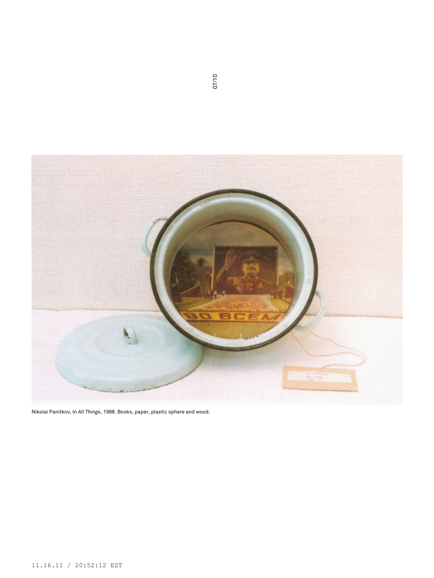

Nikolai Panitkov, *In All Things*, 1988. Books, paper, plastic sphere and wood.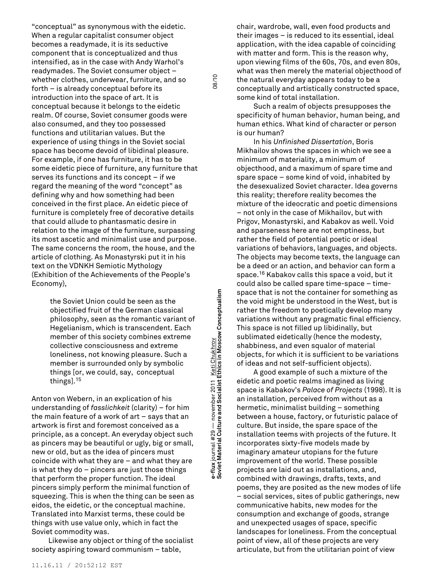"conceptual" as synonymous with the eidetic. When a regular capitalist consumer object becomes a readymade, it is its seductive component that is conceptualized and thus intensified, as in the case with Andy Warhol's readymades. The Soviet consumer object – whether clothes, underwear, furniture, and so forth – is already conceptual before its introduction into the space of art. It is conceptual because it belongs to the eidetic realm. Of course, Soviet consumer goods were also consumed, and they too possessed functions and utilitarian values. But the experience of using things in the Soviet social space has become devoid of libidinal pleasure. For example, if one has furniture, it has to be some eidetic piece of furniture, any furniture that serves its functions and its concept – if we regard the meaning of the word "concept" as defining why and how something had been conceived in the first place. An eidetic piece of furniture is completely free of decorative details that could allude to phantasmatic desire in relation to the image of the furniture, surpassing its most ascetic and minimalist use and purpose. The same concerns the room, the house, and the article of clothing. As Monastyrski put it in his text on the VDNKH Semiotic Mythology (Exhibition of the Achievements of the People's Economy),

> the Soviet Union could be seen as the objectified fruit of the German classical philosophy, seen as the romantic variant of Hegelianism, which is transcendent. Each member of this society combines extreme collective consciousness and extreme loneliness, not knowing pleasure. Such a member is surrounded only by symbolic things [or, we could, say, conceptual things]. 15

Anton von Webern, in an explication of his understanding of *fasslichkeit* (clarity) – for him the main feature of a work of art – says that an artwork is first and foremost conceived as a principle, as a concept. An everyday object such as pincers may be beautiful or ugly, big or small, new or old, but as the idea of pincers must coincide with what they are – and what they are is what they do – pincers are just those things that perform the proper function. The ideal pincers simply perform the minimal function of squeezing. This is when the thing can be seen as eidos, the eidetic, or the conceptual machine. Translated into Marxist terms, these could be things with use value only, which in fact the Soviet commodity was.

Likewise any object or thing of the socialist society aspiring toward communism – table,

**Soviet Material Culture and Socialist Ethics in Moscow Conceptualism** 08/10 e-flux journal #29 — november 2011 <u>- Keti Chukhrov</u><br>Soviet Material Culture and Socialist Ethics in Moscow Conceptualism **e-flux** journal #29 — november 2011 <u>Keti Chukhrov</u><br>Soviet Material Culture and Socialist Ethics in Mosc

08/10

chair, wardrobe, wall, even food products and their images – is reduced to its essential, ideal application, with the idea capable of coinciding with matter and form. This is the reason why, upon viewing films of the 60s, 70s, and even 80s, what was then merely the material objecthood of the natural everyday appears today to be a conceptually and artistically constructed space, some kind of total installation.

Such a realm of objects presupposes the specificity of human behavior, human being, and human ethics. What kind of character or person is our human?

In his *Unfinished Dissertation*, Boris Mikhailov shows the spaces in which we see a minimum of materiality, a minimum of objecthood, and a maximum of spare time and spare space – some kind of void, inhabited by the desexualized Soviet character. Idea governs this reality; therefore reality becomes the mixture of the ideocratic and poetic dimensions – not only in the case of Mikhailov, but with Prigov, Monastyrski, and Kabakov as well. Void and sparseness here are not emptiness, but rather the field of potential poetic or ideal variations of behaviors, languages, and objects. The objects may become texts, the language can be a deed or an action, and behavior can form a space. <sup>16</sup> Kabakov calls this space a void, but it could also be called spare time-space – timespace that is not the container for something as the void might be understood in the West, but is rather the freedom to poetically develop many variations without any pragmatic final efficiency. This space is not filled up libidinally, but sublimated eidetically (hence the modesty, shabbiness, and even squalor of material objects, for which it is sufficient to be variations of ideas and not self-sufficient objects).

A good example of such a mixture of the eidetic and poetic realms imagined as living space is Kabakov's *Palace of Projects* (1998). It is an installation, perceived from without as a hermetic, minimalist building – something between a house, factory, or futuristic palace of culture. But inside, the spare space of the installation teems with projects of the future. It incorporates sixty-five models made by imaginary amateur utopians for the future improvement of the world. These possible projects are laid out as installations, and, combined with drawings, drafts, texts, and poems, they are posited as the new modes of life – social services, sites of public gatherings, new communicative habits, new modes for the consumption and exchange of goods, strange and unexpected usages of space, specific landscapes for loneliness. From the conceptual point of view, all of these projects are very articulate, but from the utilitarian point of view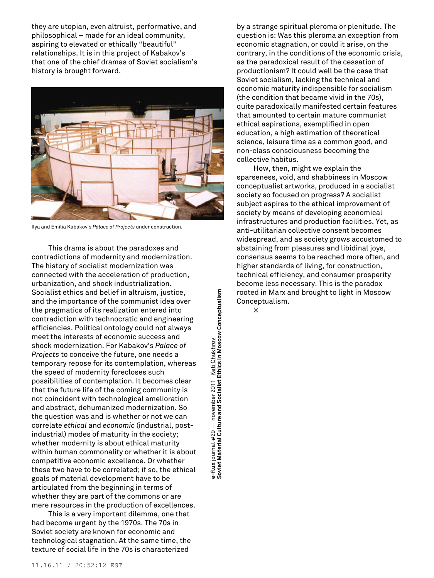they are utopian, even altruist, performative, and philosophical – made for an ideal community, aspiring to elevated or ethically "beautiful" relationships. It is in this project of Kabakov's that one of the chief dramas of Soviet socialism's history is brought forward.



Ilya and Emilia Kabakov's *Palace of Projects* under construction.

This drama is about the paradoxes and contradictions of modernity and modernization. The history of socialist modernization was connected with the acceleration of production, urbanization, and shock industrialization. Socialist ethics and belief in altruism, justice, and the importance of the communist idea over the pragmatics of its realization entered into contradiction with technocratic and engineering efficiencies. Political ontology could not always meet the interests of economic success and shock modernization. For Kabakov's *Palace of Projects* to conceive the future, one needs a temporary repose for its contemplation, whereas the speed of modernity forecloses such possibilities of contemplation. It becomes clear that the future life of the coming community is not coincident with technological amelioration and abstract, dehumanized modernization. So the question was and is whether or not we can correlate *ethical* and *economic* (industrial, postindustrial) modes of maturity in the society; whether modernity is about ethical maturity within human commonality or whether it is about competitive economic excellence. Or whether these two have to be correlated; if so, the ethical goals of material development have to be articulated from the beginning in terms of whether they are part of the commons or are mere resources in the production of excellences.

This is a very important dilemma, one that had become urgent by the 1970s. The 70s in Soviet society are known for economic and technological stagnation. At the same time, the texture of social life in the 70s is characterized

e-flux journal #29 — november 2011 <u>- Keti Chukhrov</u><br>Soviet Material Culture and Socialist Ethics in Moscow Conceptualism **Soviet Material Culture and Socialist Ethics in Moscow Conceptualism e-flux** journal #29 — november 2011 <u>Keti Chukhrov</u><br>Soviet Material Culture and Socialist Ethics in Mosc

by a strange spiritual pleroma or plenitude. The question is: Was this pleroma an exception from economic stagnation, or could it arise, on the contrary, in the conditions of the economic crisis, as the paradoxical result of the cessation of productionism? It could well be the case that Soviet socialism, lacking the technical and economic maturity indispensible for socialism (the condition that became vivid in the 70s), quite paradoxically manifested certain features that amounted to certain mature communist ethical aspirations, exemplified in open education, a high estimation of theoretical science, leisure time as a common good, and non-class consciousness becoming the collective habitus.

How, then, might we explain the sparseness, void, and shabbiness in Moscow conceptualist artworks, produced in a socialist society so focused on progress? A socialist subject aspires to the ethical improvement of society by means of developing economical infrastructures and production facilities. Yet, as anti-utilitarian collective consent becomes widespread, and as society grows accustomed to abstaining from pleasures and libidinal joys, consensus seems to be reached more often, and higher standards of living, for construction, technical efficiency, and consumer prosperity become less necessary. This is the paradox rooted in Marx and brought to light in Moscow Conceptualism.

×